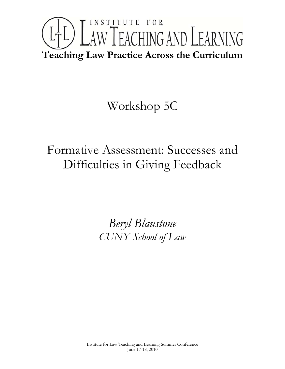

# Workshop 5C

# Formative Assessment: Successes and Difficulties in Giving Feedback

*Beryl Blaustone CUNY School of Law*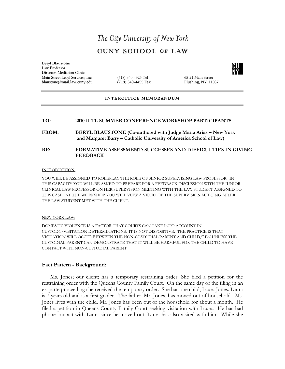## The City University of New York **CUNY SCHOOL OF LAW**

#### **Beryl Blaustone** Law Professor

Director, Mediation Clinic Main Street Legal Services; Inc. (718) 340-4325 Tel 65-21 Main Street blaustone@mail.law.cuny.edu (718) 340-4455 Fax Flushing, NY 11367

## **INTEROFFICE MEMORANDUM**

## **TO: 2010 ILTL SUMMER CONFERENCE WORKSHOP PARTICIPANTS**

**FROM: BERYL BLAUSTONE (Co-authored with Judge Maria Arias – New York and Margaret Barry – Catholic University of America School of Law)**

### **RE: FORMATIVE ASSESSMENT: SUCCESSES AND DIFFICULTIES IN GIVING FEEDBACK**

#### INTRODUCTION:

YOU WILL BE ASSIGNED TO ROLEPLAY THE ROLE OF SENIOR SUPERVISING LAW PROFESSOR. IN THIS CAPACITY YOU WILL BE ASKED TO PREPARE FOR A FEEDBACK DISCUSSION WITH THE JUNIOR CLINICAL LAW PROFESSOR ON HER SUPERVISION MEETING WITH THE LAW STUDENT ASSIGNED TO THIS CASE. AT THE WORKSHOP YOU WILL VIEW A VIDEO OF THE SUPERVISION MEETING AFTER THE LAW STUDENT MET WITH THE CLIENT.

#### NEW YORK LAW:

DOMESTIC VIOLENCE IS A FACTOR THAT COURTS CAN TAKE INTO ACCOUNT IN CUSTODY/VISITATION DETERMINATIONS. IT IS NOT DISPOSITIVE. THE PRACTICE IS THAT VISITATION WILL OCCUR BETWEEN THE NON-CUSTODIAL PARENT AND CHILD/REN UNLESS THE CUSTODIAL PARENT CAN DEMONSTRATE THAT IT WILL BE HARMFUL FOR THE CHILD TO HAVE CONTACT WITH NON-CUSTODIAL PARENT.

## **Fact Pattern - Background:**

Ms. Jones; our client; has a temporary restraining order. She filed a petition for the restraining order with the Queens County Family Court. On the same day of the filing in an ex-parte proceeding she received the temporary order. She has one child, Laura Jones. Laura is 7 years old and is a first grader. The father, Mr. Jones, has moved out of household. Ms. Jones lives with the child. Mr. Jones has been out of the household for about a month. He filed a petition in Queens County Family Court seeking visitation with Laura. He has had phone contact with Laura since he moved out. Laura has also visited with him. While she

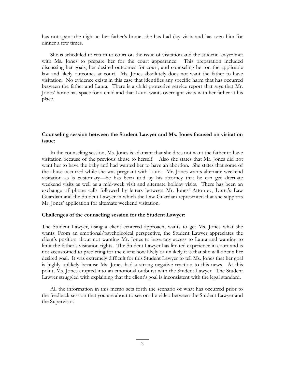has not spent the night at her father's home, she has had day visits and has seen him for dinner a few times.

She is scheduled to return to court on the issue of visitation and the student lawyer met with Ms. Jones to prepare her for the court appearance. This preparation included discussing her goals, her desired outcomes for court, and counseling her on the applicable law and likely outcomes at court. Ms. Jones absolutely does not want the father to have visitation. No evidence exists in this case that identifies any specific harm that has occurred between the father and Laura. There is a child protective service report that says that Mr. Jones' home has space for a child and that Laura wants overnight visits with her father at his place.

## **Counseling session between the Student Lawyer and Ms. Jones focused on visitation issue**:

In the counseling session, Ms. Jones is adamant that she does not want the father to have visitation because of the previous abuse to herself. Also she states that Mr. Jones did not want her to have the baby and had wanted her to have an abortion. She states that some of the abuse occurred while she was pregnant with Laura. Mr. Jones wants alternate weekend visitation as is customary—he has been told by his attorney that he can get alternate weekend visits as well as a mid-week visit and alternate holiday visits. There has been an exchange of phone calls followed by letters between Mr. Jones' Attorney, Laura's Law Guardian and the Student Lawyer in which the Law Guardian represented that she supports Mr. Jones' application for alternate weekend visitation.

### **Challenges of the counseling session for the Student Lawyer:**

The Student Lawyer, using a client centered approach, wants to get Ms. Jones what she wants. From an emotional/psychological perspective, the Student Lawyer appreciates the client's position about not wanting Mr. Jones to have any access to Laura and wanting to limit the father's visitation rights. The Student Lawyer has limited experience in court and is not accustomed to predicting for the client how likely or unlikely it is that she will obtain her desired goal. It was extremely difficult for this Student Lawyer to tell Ms. Jones that her goal is highly unlikely because Ms. Jones had a strong negative reaction to this news. At this point, Ms. Jones erupted into an emotional outburst with the Student Lawyer. The Student Lawyer struggled with explaining that the client's goal is inconsistent with the legal standard.

All the information in this memo sets forth the scenario of what has occurred prior to the feedback session that you are about to see on the video between the Student Lawyer and the Supervisor.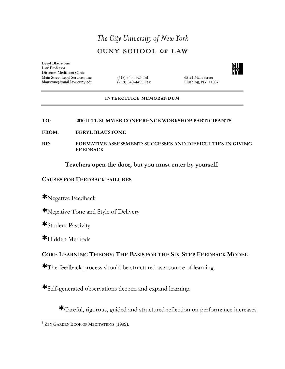## The City University of New York **CUNY SCHOOL OF LAW**

**Beryl Blaustone** Law Professor Director, Mediation Clinic Main Street Legal Services; Inc. (718) 340-4325 Tel (65-21 Main Street blaustone @mail.law.cuny.edu (718) 340-4455 Fax Flushing, NY 11367 blaustone@mail.law.cuny.edu

## **INTEROFFICE MEMORANDUM**

## **TO: 2010 ILTL SUMMER CONFERENCE WORKSHOP PARTICIPANTS**

**FROM: BERYL BLAUSTONE** 

**RE: FORMATIVE ASSESSMENT: SUCCESSES AND DIFFICULTIES IN GIVING FEEDBACK**

**Teachers open the door, but you must enter by yourself**.[1](#page-3-0)

## **CAUSES FOR FEEDBACK FAILURES**

∗Negative Feedback

∗Negative Tone and Style of Delivery

∗Student Passivity

∗Hidden Methods

## **CORE LEARNING THEORY: THE BASIS FOR THE SIX-STEP FEEDBACK MODEL**

∗The feedback process should be structured as a source of learning.

∗Self-generated observations deepen and expand learning.

∗Careful, rigorous, guided and structured reflection on performance increases



<span id="page-3-0"></span><sup>&</sup>lt;sup>1</sup> ZEN GARDEN BOOK OF MEDITATIONS (1999).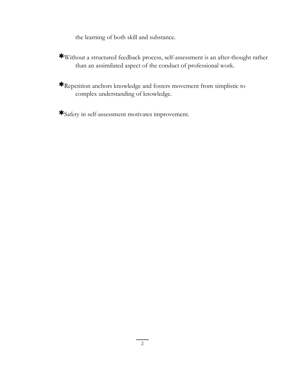the learning of both skill and substance.

- ∗Without a structured feedback process, self-assessment is an after-thought rather than an assimilated aspect of the conduct of professional work.
- ∗Repetition anchors knowledge and fosters movement from simplistic to complex understanding of knowledge.
- ∗Safety in self-assessment motivates improvement.